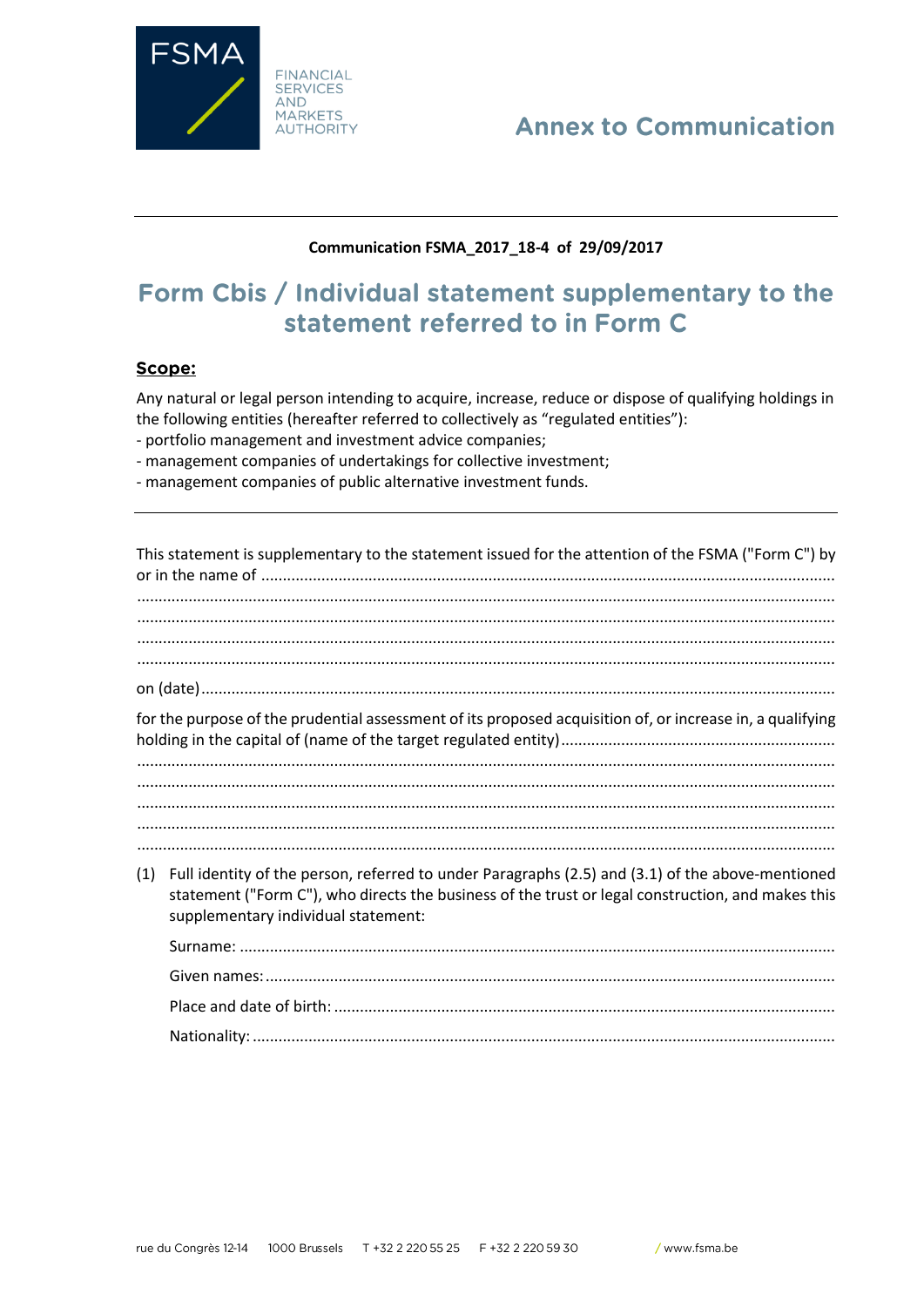

# **Annex to Communication**

### Communication FSMA\_2017\_18-4 of 29/09/2017

# Form Cbis / Individual statement supplementary to the statement referred to in Form C

### Scope:

Any natural or legal person intending to acquire, increase, reduce or dispose of qualifying holdings in the following entities (hereafter referred to collectively as "regulated entities"):

- portfolio management and investment advice companies;
- management companies of undertakings for collective investment;
- management companies of public alternative investment funds.

|                                                                                                           | This statement is supplementary to the statement issued for the attention of the FSMA ("Form C") by                                                                                                                                          |  |
|-----------------------------------------------------------------------------------------------------------|----------------------------------------------------------------------------------------------------------------------------------------------------------------------------------------------------------------------------------------------|--|
|                                                                                                           |                                                                                                                                                                                                                                              |  |
| for the purpose of the prudential assessment of its proposed acquisition of, or increase in, a qualifying |                                                                                                                                                                                                                                              |  |
|                                                                                                           |                                                                                                                                                                                                                                              |  |
|                                                                                                           |                                                                                                                                                                                                                                              |  |
|                                                                                                           |                                                                                                                                                                                                                                              |  |
|                                                                                                           |                                                                                                                                                                                                                                              |  |
| (1)                                                                                                       | Full identity of the person, referred to under Paragraphs (2.5) and (3.1) of the above-mentioned<br>statement ("Form C"), who directs the business of the trust or legal construction, and makes this<br>supplementary individual statement: |  |
|                                                                                                           |                                                                                                                                                                                                                                              |  |
|                                                                                                           |                                                                                                                                                                                                                                              |  |
|                                                                                                           |                                                                                                                                                                                                                                              |  |
|                                                                                                           |                                                                                                                                                                                                                                              |  |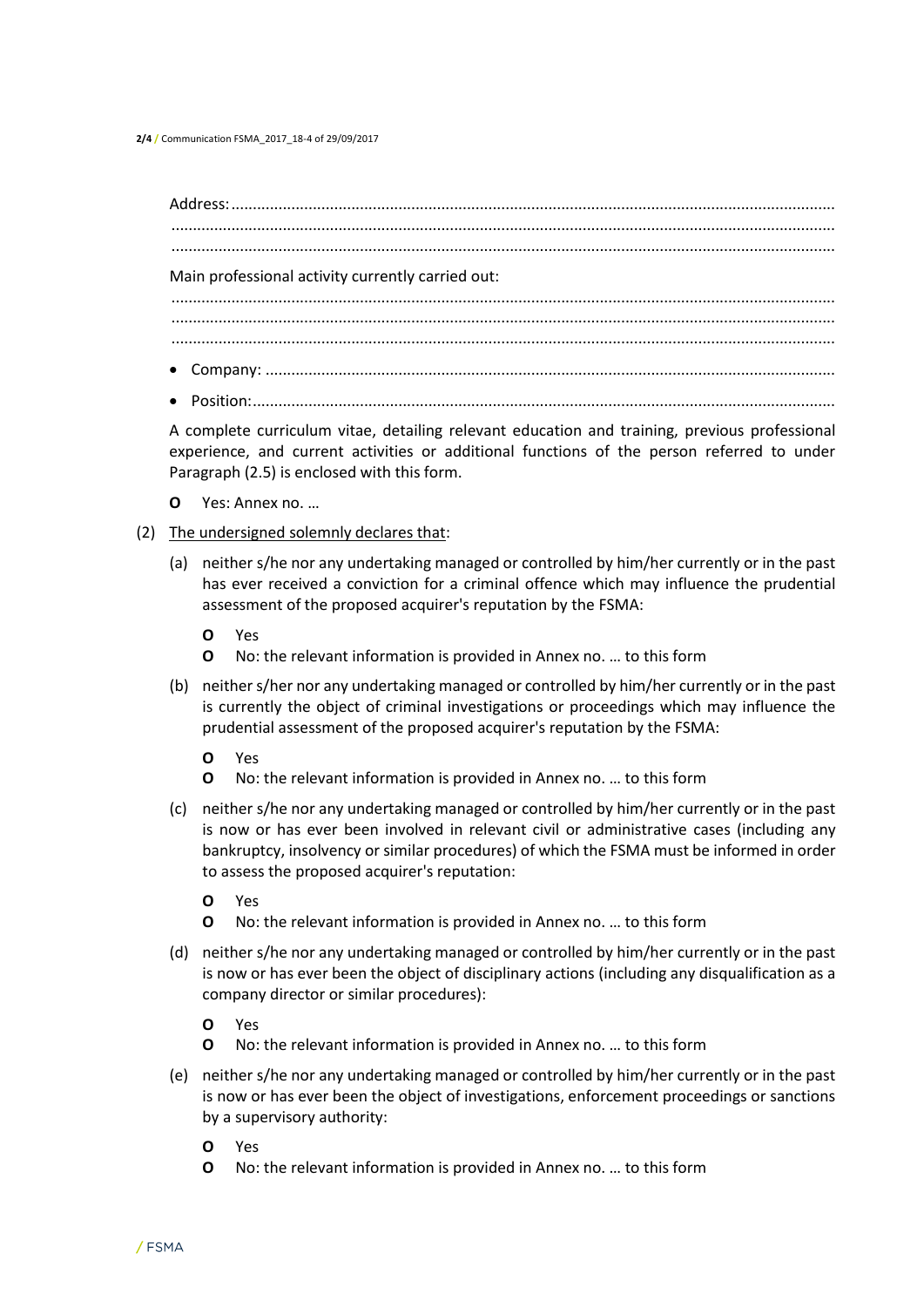**2/4 /** Communication FSMA\_2017\_18-4 of 29/09/2017

Address:............................................................................................................................................. ........................................................................................................................................................... ........................................................................................................................................................... Main professional activity currently carried out: ........................................................................................................................................................... ........................................................................................................................................................... ........................................................................................................................................................... Company: ..................................................................................................................................... Position:........................................................................................................................................

A complete curriculum vitae, detailing relevant education and training, previous professional experience, and current activities or additional functions of the person referred to under Paragraph (2.5) is enclosed with this form.

- **O** Yes: Annex no. …
- (2) The undersigned solemnly declares that:
	- (a) neither s/he nor any undertaking managed or controlled by him/her currently or in the past has ever received a conviction for a criminal offence which may influence the prudential assessment of the proposed acquirer's reputation by the FSMA:
		- **O** Yes
		- **O** No: the relevant information is provided in Annex no. … to this form
	- (b) neither s/her nor any undertaking managed or controlled by him/her currently or in the past is currently the object of criminal investigations or proceedings which may influence the prudential assessment of the proposed acquirer's reputation by the FSMA:
		- **O** Yes
		- **O** No: the relevant information is provided in Annex no. … to this form
	- (c) neither s/he nor any undertaking managed or controlled by him/her currently or in the past is now or has ever been involved in relevant civil or administrative cases (including any bankruptcy, insolvency or similar procedures) of which the FSMA must be informed in order to assess the proposed acquirer's reputation:
		- **O** Yes
		- **O** No: the relevant information is provided in Annex no. … to this form
	- (d) neither s/he nor any undertaking managed or controlled by him/her currently or in the past is now or has ever been the object of disciplinary actions (including any disqualification as a company director or similar procedures):
		- **O** Yes
		- **O** No: the relevant information is provided in Annex no. … to this form
	- (e) neither s/he nor any undertaking managed or controlled by him/her currently or in the past is now or has ever been the object of investigations, enforcement proceedings or sanctions by a supervisory authority:
		- **O** Yes
		- **O** No: the relevant information is provided in Annex no. … to this form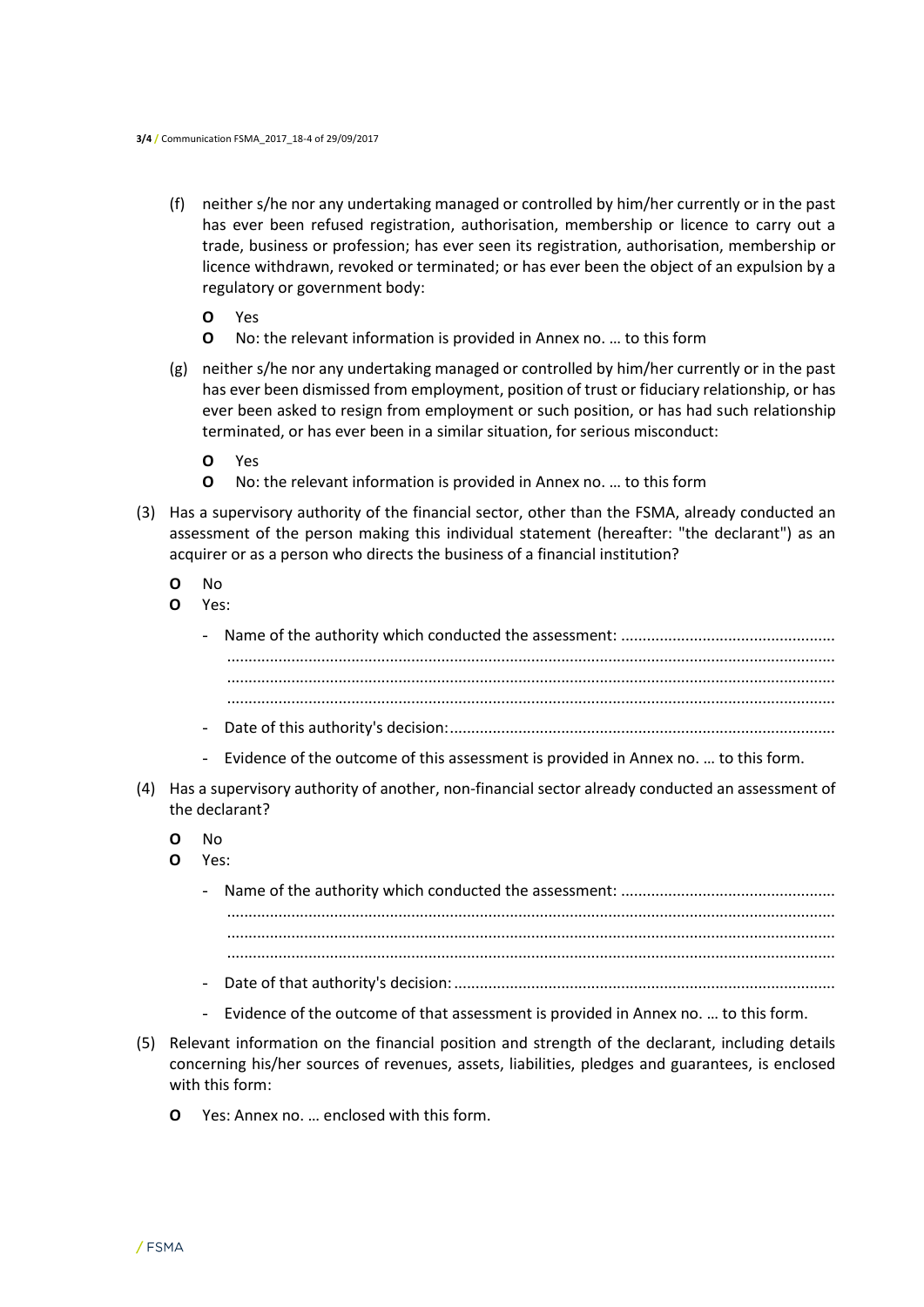- (f) neither s/he nor any undertaking managed or controlled by him/her currently or in the past has ever been refused registration, authorisation, membership or licence to carry out a trade, business or profession; has ever seen its registration, authorisation, membership or licence withdrawn, revoked or terminated; or has ever been the object of an expulsion by a regulatory or government body:
	- **O** Yes
	- **O** No: the relevant information is provided in Annex no. … to this form
- (g) neither s/he nor any undertaking managed or controlled by him/her currently or in the past has ever been dismissed from employment, position of trust or fiduciary relationship, or has ever been asked to resign from employment or such position, or has had such relationship terminated, or has ever been in a similar situation, for serious misconduct:
	- **O** Yes
	- **O** No: the relevant information is provided in Annex no. … to this form
- (3) Has a supervisory authority of the financial sector, other than the FSMA, already conducted an assessment of the person making this individual statement (hereafter: "the declarant") as an acquirer or as a person who directs the business of a financial institution?
	- **O** No
	- **O** Yes:
		- Name of the authority which conducted the assessment: .................................................. .............................................................................................................................................. .............................................................................................................................................. .............................................................................................................................................. - Date of this authority's decision:..........................................................................................
		- Evidence of the outcome of this assessment is provided in Annex no. … to this form.
- (4) Has a supervisory authority of another, non-financial sector already conducted an assessment of the declarant?
	- **O** No
	- **O** Yes:

- Date of that authority's decision:.........................................................................................
- Evidence of the outcome of that assessment is provided in Annex no. … to this form.
- (5) Relevant information on the financial position and strength of the declarant, including details concerning his/her sources of revenues, assets, liabilities, pledges and guarantees, is enclosed with this form:
	- **O** Yes: Annex no. … enclosed with this form.

<sup>-</sup> Name of the authority which conducted the assessment: .................................................. .............................................................................................................................................. .............................................................................................................................................. ..............................................................................................................................................